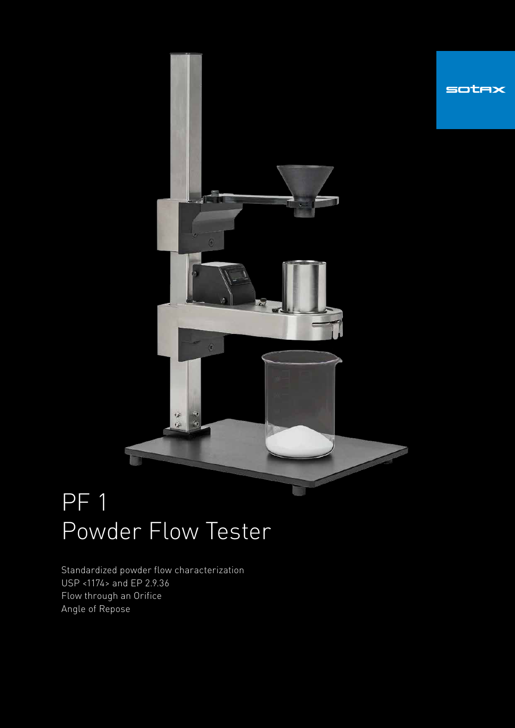

# PF 1 Powder Flow Tester

Standardized powder flow characterization USP <1174> and EP 2.9.36 Flow through an Orifice Angle of Repose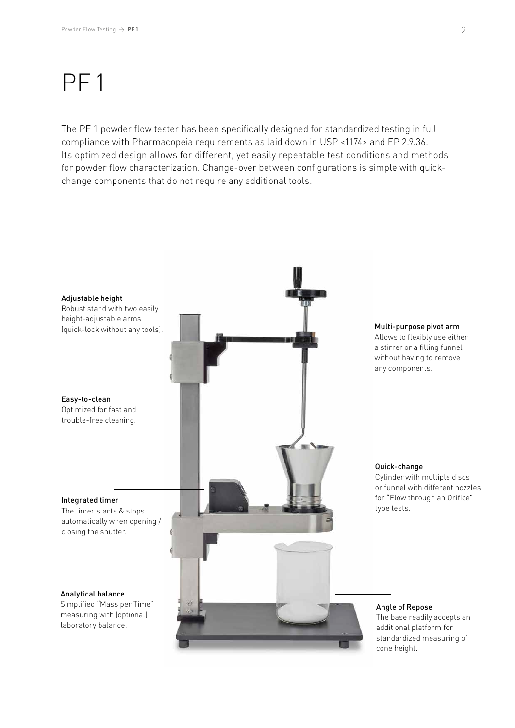## PF 1

The PF 1 powder flow tester has been specifically designed for standardized testing in full compliance with Pharmacopeia requirements as laid down in USP <1174> and EP 2.9.36. Its optimized design allows for different, yet easily repeatable test conditions and methods for powder flow characterization. Change-over between configurations is simple with quickchange components that do not require any additional tools.

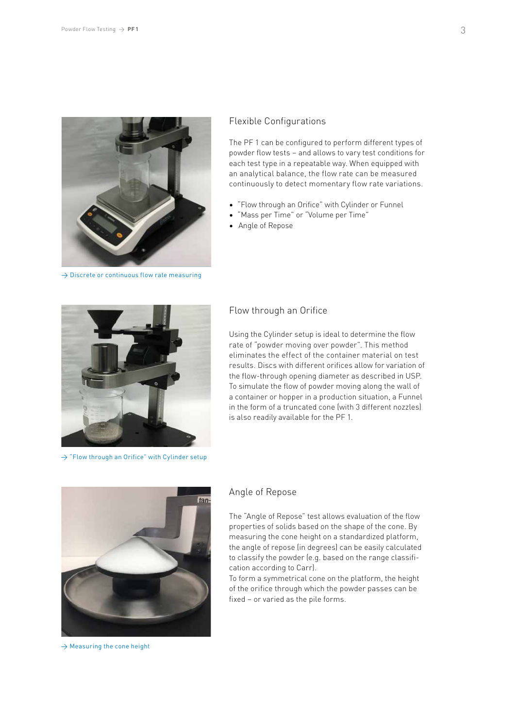

 $\rightarrow$  Discrete or continuous flow rate measuring

#### Flexible Configurations

The PF 1 can be configured to perform different types of powder flow tests – and allows to vary test conditions for each test type in a repeatable way. When equipped with an analytical balance, the flow rate can be measured continuously to detect momentary flow rate variations.

- "Flow through an Orifice" with Cylinder or Funnel
- "Mass per Time" or "Volume per Time"
- Angle of Repose



 $\rightarrow$  "Flow through an Orifice" with Cylinder setup

#### Flow through an Orifice

Using the Cylinder setup is ideal to determine the flow rate of "powder moving over powder". This method eliminates the effect of the container material on test results. Discs with different orifices allow for variation of the flow-through opening diameter as described in USP. To simulate the flow of powder moving along the wall of a container or hopper in a production situation, a Funnel in the form of a truncated cone (with 3 different nozzles) is also readily available for the PF 1.



 $\rightarrow$  Measuring the cone height

#### Angle of Repose

The "Angle of Repose" test allows evaluation of the flow properties of solids based on the shape of the cone. By measuring the cone height on a standardized platform, the angle of repose (in degrees) can be easily calculated to classify the powder (e.g. based on the range classification according to Carr).

To form a symmetrical cone on the platform, the height of the orifice through which the powder passes can be fixed – or varied as the pile forms.